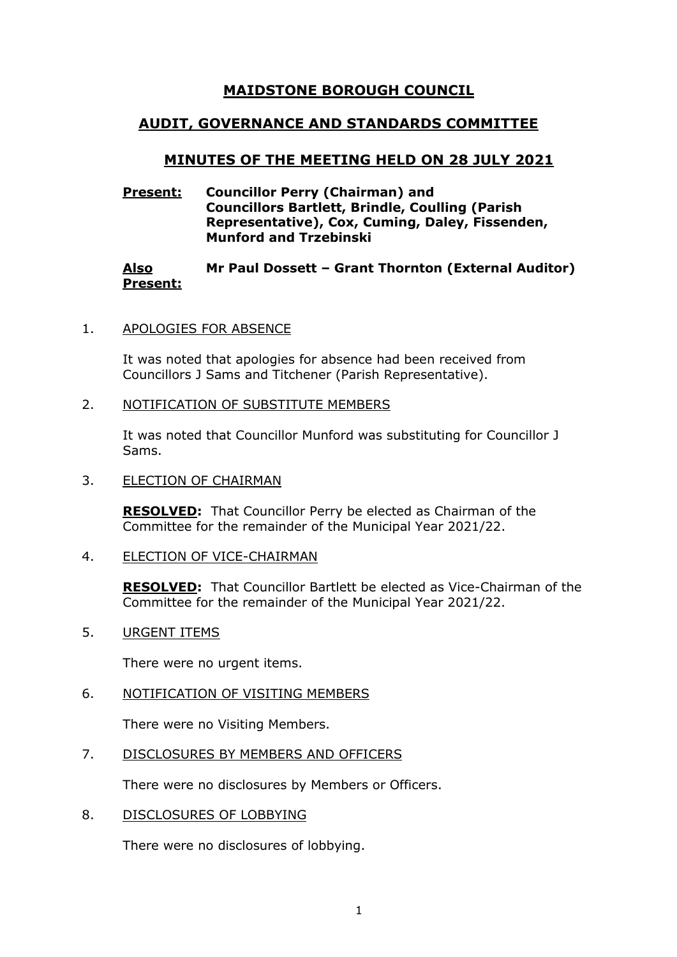# **MAIDSTONE BOROUGH COUNCIL**

# **AUDIT, GOVERNANCE AND STANDARDS COMMITTEE**

# **MINUTES OF THE MEETING HELD ON 28 JULY 2021**

### **Present: Councillor Perry (Chairman) and Councillors Bartlett, Brindle, Coulling (Parish Representative), Cox, Cuming, Daley, Fissenden, Munford and Trzebinski**

#### **Also Present: Mr Paul Dossett – Grant Thornton (External Auditor)**

#### 1. APOLOGIES FOR ABSENCE

It was noted that apologies for absence had been received from Councillors J Sams and Titchener (Parish Representative).

#### 2. NOTIFICATION OF SUBSTITUTE MEMBERS

It was noted that Councillor Munford was substituting for Councillor J Sams.

3. ELECTION OF CHAIRMAN

**RESOLVED:** That Councillor Perry be elected as Chairman of the Committee for the remainder of the Municipal Year 2021/22.

4. ELECTION OF VICE-CHAIRMAN

**RESOLVED:** That Councillor Bartlett be elected as Vice-Chairman of the Committee for the remainder of the Municipal Year 2021/22.

5. URGENT ITEMS

There were no urgent items.

6. NOTIFICATION OF VISITING MEMBERS

There were no Visiting Members.

# 7. DISCLOSURES BY MEMBERS AND OFFICERS

There were no disclosures by Members or Officers.

8. DISCLOSURES OF LOBBYING

There were no disclosures of lobbying.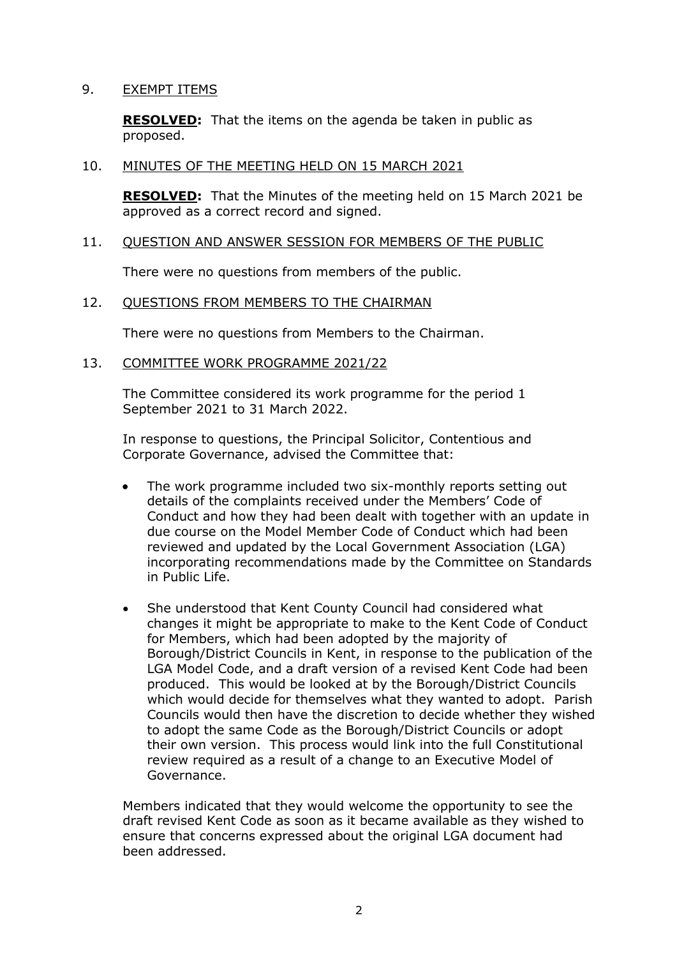### 9. EXEMPT ITEMS

**RESOLVED:** That the items on the agenda be taken in public as proposed.

### 10. MINUTES OF THE MEETING HELD ON 15 MARCH 2021

**RESOLVED:** That the Minutes of the meeting held on 15 March 2021 be approved as a correct record and signed.

#### 11. QUESTION AND ANSWER SESSION FOR MEMBERS OF THE PUBLIC

There were no questions from members of the public.

## 12. QUESTIONS FROM MEMBERS TO THE CHAIRMAN

There were no questions from Members to the Chairman.

## 13. COMMITTEE WORK PROGRAMME 2021/22

The Committee considered its work programme for the period 1 September 2021 to 31 March 2022.

In response to questions, the Principal Solicitor, Contentious and Corporate Governance, advised the Committee that:

- The work programme included two six-monthly reports setting out details of the complaints received under the Members' Code of Conduct and how they had been dealt with together with an update in due course on the Model Member Code of Conduct which had been reviewed and updated by the Local Government Association (LGA) incorporating recommendations made by the Committee on Standards in Public Life.
- She understood that Kent County Council had considered what changes it might be appropriate to make to the Kent Code of Conduct for Members, which had been adopted by the majority of Borough/District Councils in Kent, in response to the publication of the LGA Model Code, and a draft version of a revised Kent Code had been produced. This would be looked at by the Borough/District Councils which would decide for themselves what they wanted to adopt. Parish Councils would then have the discretion to decide whether they wished to adopt the same Code as the Borough/District Councils or adopt their own version. This process would link into the full Constitutional review required as a result of a change to an Executive Model of Governance.

Members indicated that they would welcome the opportunity to see the draft revised Kent Code as soon as it became available as they wished to ensure that concerns expressed about the original LGA document had been addressed.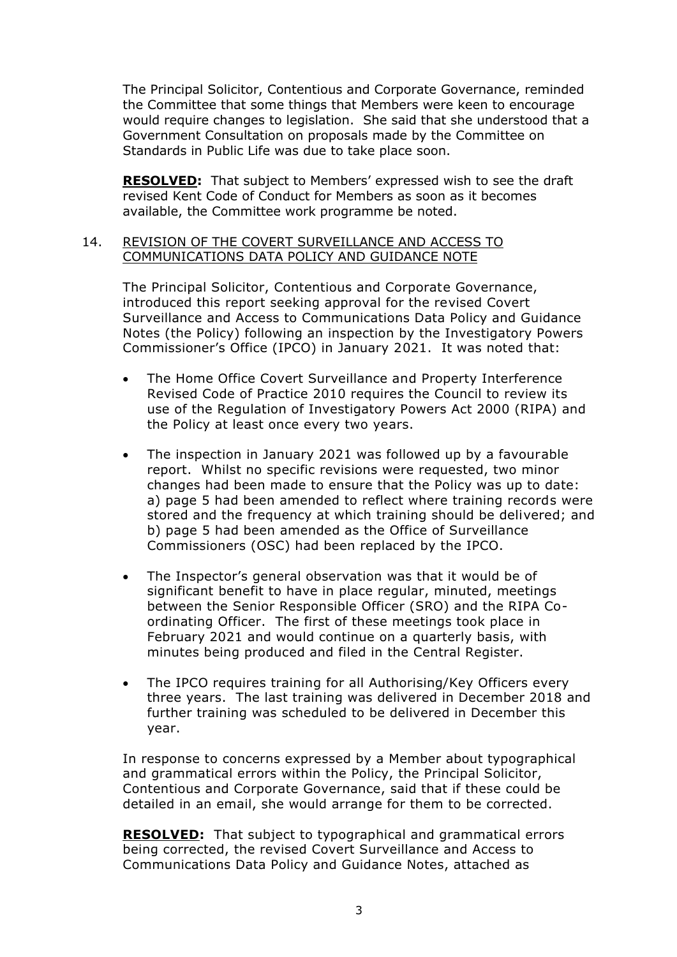The Principal Solicitor, Contentious and Corporate Governance, reminded the Committee that some things that Members were keen to encourage would require changes to legislation. She said that she understood that a Government Consultation on proposals made by the Committee on Standards in Public Life was due to take place soon.

**RESOLVED:** That subject to Members' expressed wish to see the draft revised Kent Code of Conduct for Members as soon as it becomes available, the Committee work programme be noted.

#### 14. REVISION OF THE COVERT SURVEILLANCE AND ACCESS TO COMMUNICATIONS DATA POLICY AND GUIDANCE NOTE

The Principal Solicitor, Contentious and Corporate Governance, introduced this report seeking approval for the revised Covert Surveillance and Access to Communications Data Policy and Guidance Notes (the Policy) following an inspection by the Investigatory Powers Commissioner's Office (IPCO) in January 2021. It was noted that:

- The Home Office Covert Surveillance and Property Interference Revised Code of Practice 2010 requires the Council to review its use of the Regulation of Investigatory Powers Act 2000 (RIPA) and the Policy at least once every two years.
- The inspection in January 2021 was followed up by a favourable report. Whilst no specific revisions were requested, two minor changes had been made to ensure that the Policy was up to date: a) page 5 had been amended to reflect where training records were stored and the frequency at which training should be delivered; and b) page 5 had been amended as the Office of Surveillance Commissioners (OSC) had been replaced by the IPCO.
- The Inspector's general observation was that it would be of significant benefit to have in place regular, minuted, meetings between the Senior Responsible Officer (SRO) and the RIPA Coordinating Officer. The first of these meetings took place in February 2021 and would continue on a quarterly basis, with minutes being produced and filed in the Central Register.
- The IPCO requires training for all Authorising/Key Officers every three years. The last training was delivered in December 2018 and further training was scheduled to be delivered in December this year.

In response to concerns expressed by a Member about typographical and grammatical errors within the Policy, the Principal Solicitor, Contentious and Corporate Governance, said that if these could be detailed in an email, she would arrange for them to be corrected.

**RESOLVED:** That subject to typographical and grammatical errors being corrected, the revised Covert Surveillance and Access to Communications Data Policy and Guidance Notes, attached as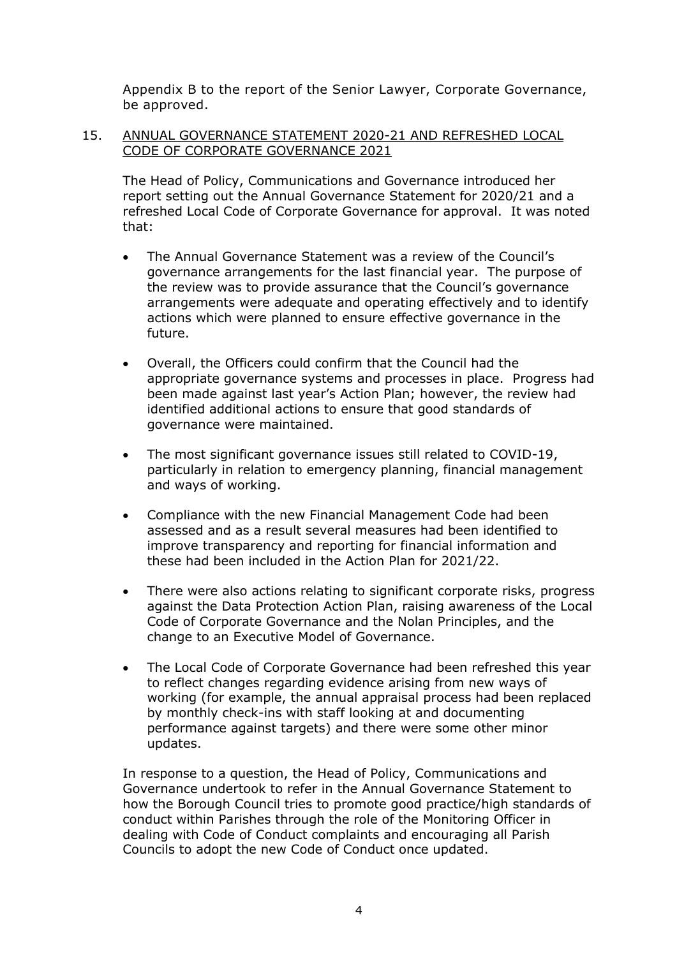Appendix B to the report of the Senior Lawyer, Corporate Governance, be approved.

# 15. ANNUAL GOVERNANCE STATEMENT 2020-21 AND REFRESHED LOCAL CODE OF CORPORATE GOVERNANCE 2021

The Head of Policy, Communications and Governance introduced her report setting out the Annual Governance Statement for 2020/21 and a refreshed Local Code of Corporate Governance for approval. It was noted that:

- The Annual Governance Statement was a review of the Council's governance arrangements for the last financial year. The purpose of the review was to provide assurance that the Council's governance arrangements were adequate and operating effectively and to identify actions which were planned to ensure effective governance in the future.
- Overall, the Officers could confirm that the Council had the appropriate governance systems and processes in place. Progress had been made against last year's Action Plan; however, the review had identified additional actions to ensure that good standards of governance were maintained.
- The most significant governance issues still related to COVID-19, particularly in relation to emergency planning, financial management and ways of working.
- Compliance with the new Financial Management Code had been assessed and as a result several measures had been identified to improve transparency and reporting for financial information and these had been included in the Action Plan for 2021/22.
- There were also actions relating to significant corporate risks, progress against the Data Protection Action Plan, raising awareness of the Local Code of Corporate Governance and the Nolan Principles, and the change to an Executive Model of Governance.
- The Local Code of Corporate Governance had been refreshed this year to reflect changes regarding evidence arising from new ways of working (for example, the annual appraisal process had been replaced by monthly check-ins with staff looking at and documenting performance against targets) and there were some other minor updates.

In response to a question, the Head of Policy, Communications and Governance undertook to refer in the Annual Governance Statement to how the Borough Council tries to promote good practice/high standards of conduct within Parishes through the role of the Monitoring Officer in dealing with Code of Conduct complaints and encouraging all Parish Councils to adopt the new Code of Conduct once updated.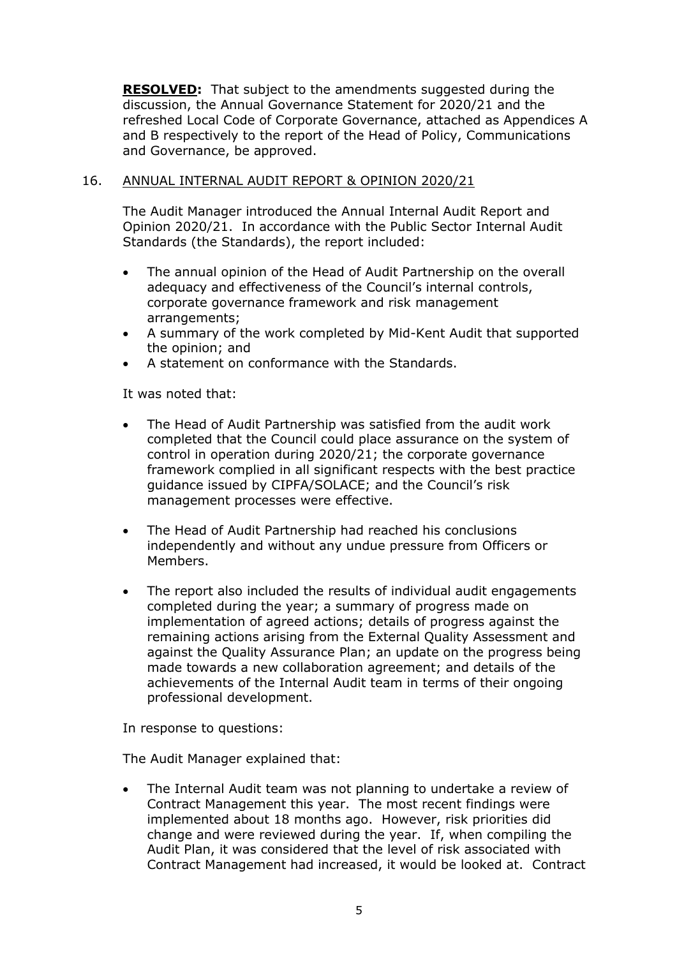**RESOLVED:** That subject to the amendments suggested during the discussion, the Annual Governance Statement for 2020/21 and the refreshed Local Code of Corporate Governance, attached as Appendices A and B respectively to the report of the Head of Policy, Communications and Governance, be approved.

# 16. ANNUAL INTERNAL AUDIT REPORT & OPINION 2020/21

The Audit Manager introduced the Annual Internal Audit Report and Opinion 2020/21. In accordance with the Public Sector Internal Audit Standards (the Standards), the report included:

- The annual opinion of the Head of Audit Partnership on the overall adequacy and effectiveness of the Council's internal controls, corporate governance framework and risk management arrangements;
- A summary of the work completed by Mid-Kent Audit that supported the opinion; and
- A statement on conformance with the Standards.

It was noted that:

- The Head of Audit Partnership was satisfied from the audit work completed that the Council could place assurance on the system of control in operation during 2020/21; the corporate governance framework complied in all significant respects with the best practice guidance issued by CIPFA/SOLACE; and the Council's risk management processes were effective.
- The Head of Audit Partnership had reached his conclusions independently and without any undue pressure from Officers or Members.
- The report also included the results of individual audit engagements completed during the year; a summary of progress made on implementation of agreed actions; details of progress against the remaining actions arising from the External Quality Assessment and against the Quality Assurance Plan; an update on the progress being made towards a new collaboration agreement; and details of the achievements of the Internal Audit team in terms of their ongoing professional development.

In response to questions:

The Audit Manager explained that:

• The Internal Audit team was not planning to undertake a review of Contract Management this year. The most recent findings were implemented about 18 months ago. However, risk priorities did change and were reviewed during the year. If, when compiling the Audit Plan, it was considered that the level of risk associated with Contract Management had increased, it would be looked at. Contract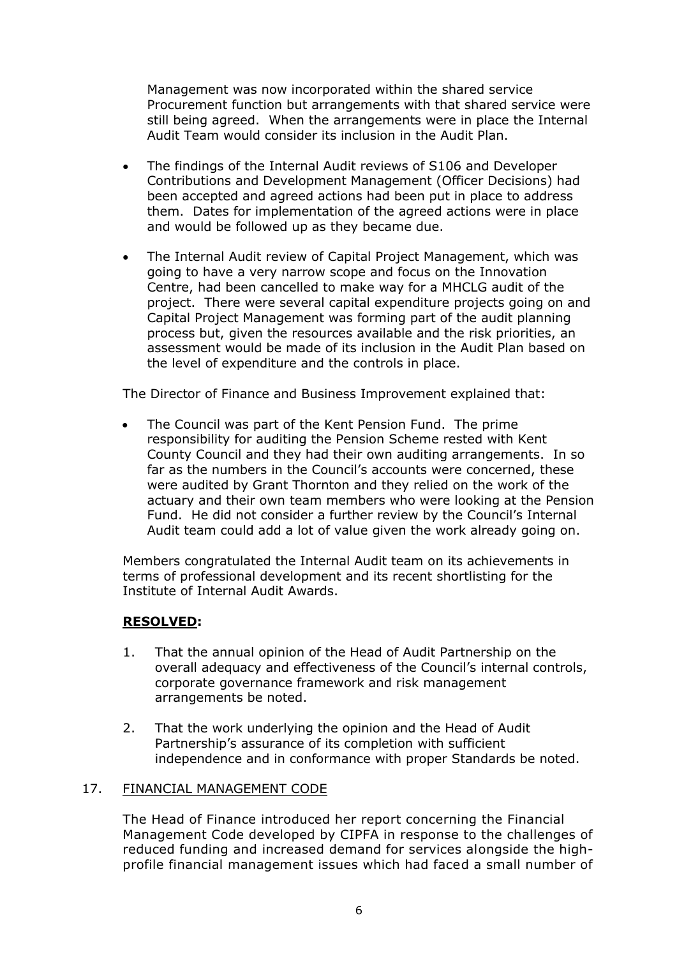Management was now incorporated within the shared service Procurement function but arrangements with that shared service were still being agreed. When the arrangements were in place the Internal Audit Team would consider its inclusion in the Audit Plan.

- The findings of the Internal Audit reviews of S106 and Developer Contributions and Development Management (Officer Decisions) had been accepted and agreed actions had been put in place to address them. Dates for implementation of the agreed actions were in place and would be followed up as they became due.
- The Internal Audit review of Capital Project Management, which was going to have a very narrow scope and focus on the Innovation Centre, had been cancelled to make way for a MHCLG audit of the project. There were several capital expenditure projects going on and Capital Project Management was forming part of the audit planning process but, given the resources available and the risk priorities, an assessment would be made of its inclusion in the Audit Plan based on the level of expenditure and the controls in place.

The Director of Finance and Business Improvement explained that:

• The Council was part of the Kent Pension Fund. The prime responsibility for auditing the Pension Scheme rested with Kent County Council and they had their own auditing arrangements. In so far as the numbers in the Council's accounts were concerned, these were audited by Grant Thornton and they relied on the work of the actuary and their own team members who were looking at the Pension Fund. He did not consider a further review by the Council's Internal Audit team could add a lot of value given the work already going on.

Members congratulated the Internal Audit team on its achievements in terms of professional development and its recent shortlisting for the Institute of Internal Audit Awards.

# **RESOLVED:**

- 1. That the annual opinion of the Head of Audit Partnership on the overall adequacy and effectiveness of the Council's internal controls, corporate governance framework and risk management arrangements be noted.
- 2. That the work underlying the opinion and the Head of Audit Partnership's assurance of its completion with sufficient independence and in conformance with proper Standards be noted.

# 17. FINANCIAL MANAGEMENT CODE

The Head of Finance introduced her report concerning the Financial Management Code developed by CIPFA in response to the challenges of reduced funding and increased demand for services alongside the highprofile financial management issues which had faced a small number of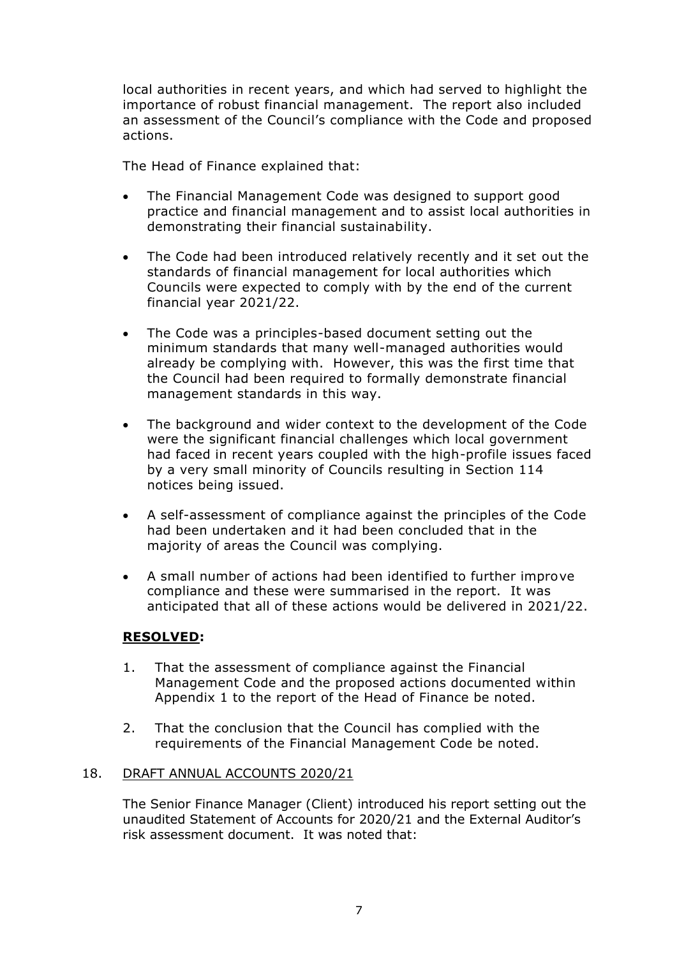local authorities in recent years, and which had served to highlight the importance of robust financial management. The report also included an assessment of the Council's compliance with the Code and proposed actions.

The Head of Finance explained that:

- The Financial Management Code was designed to support good practice and financial management and to assist local authorities in demonstrating their financial sustainability.
- The Code had been introduced relatively recently and it set out the standards of financial management for local authorities which Councils were expected to comply with by the end of the current financial year 2021/22.
- The Code was a principles-based document setting out the minimum standards that many well-managed authorities would already be complying with. However, this was the first time that the Council had been required to formally demonstrate financial management standards in this way.
- The background and wider context to the development of the Code were the significant financial challenges which local government had faced in recent years coupled with the high-profile issues faced by a very small minority of Councils resulting in Section 114 notices being issued.
- A self-assessment of compliance against the principles of the Code had been undertaken and it had been concluded that in the majority of areas the Council was complying.
- A small number of actions had been identified to further improve compliance and these were summarised in the report. It was anticipated that all of these actions would be delivered in 2021/22.

# **RESOLVED:**

- 1. That the assessment of compliance against the Financial Management Code and the proposed actions documented within Appendix 1 to the report of the Head of Finance be noted.
- 2. That the conclusion that the Council has complied with the requirements of the Financial Management Code be noted.

#### 18. DRAFT ANNUAL ACCOUNTS 2020/21

The Senior Finance Manager (Client) introduced his report setting out the unaudited Statement of Accounts for 2020/21 and the External Auditor's risk assessment document. It was noted that: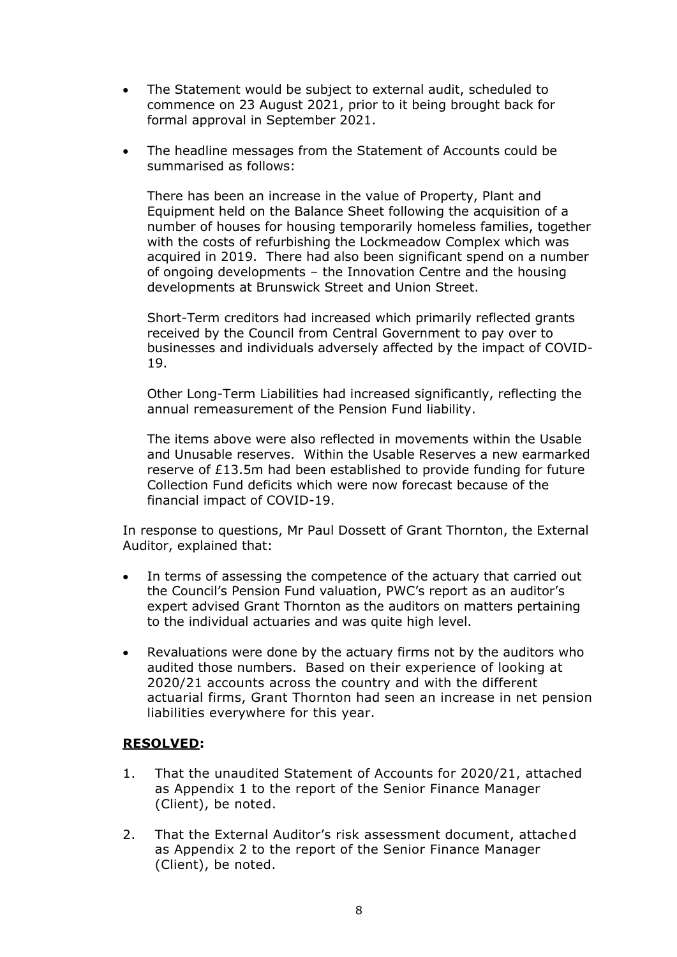- The Statement would be subject to external audit, scheduled to commence on 23 August 2021, prior to it being brought back for formal approval in September 2021.
- The headline messages from the Statement of Accounts could be summarised as follows:

There has been an increase in the value of Property, Plant and Equipment held on the Balance Sheet following the acquisition of a number of houses for housing temporarily homeless families, together with the costs of refurbishing the Lockmeadow Complex which was acquired in 2019. There had also been significant spend on a number of ongoing developments – the Innovation Centre and the housing developments at Brunswick Street and Union Street.

Short-Term creditors had increased which primarily reflected grants received by the Council from Central Government to pay over to businesses and individuals adversely affected by the impact of COVID-19.

Other Long-Term Liabilities had increased significantly, reflecting the annual remeasurement of the Pension Fund liability.

The items above were also reflected in movements within the Usable and Unusable reserves. Within the Usable Reserves a new earmarked reserve of £13.5m had been established to provide funding for future Collection Fund deficits which were now forecast because of the financial impact of COVID-19.

In response to questions, Mr Paul Dossett of Grant Thornton, the External Auditor, explained that:

- In terms of assessing the competence of the actuary that carried out the Council's Pension Fund valuation, PWC's report as an auditor's expert advised Grant Thornton as the auditors on matters pertaining to the individual actuaries and was quite high level.
- Revaluations were done by the actuary firms not by the auditors who audited those numbers. Based on their experience of looking at 2020/21 accounts across the country and with the different actuarial firms, Grant Thornton had seen an increase in net pension liabilities everywhere for this year.

# **RESOLVED:**

- 1. That the unaudited Statement of Accounts for 2020/21, attached as Appendix 1 to the report of the Senior Finance Manager (Client), be noted.
- 2. That the External Auditor's risk assessment document, attached as Appendix 2 to the report of the Senior Finance Manager (Client), be noted.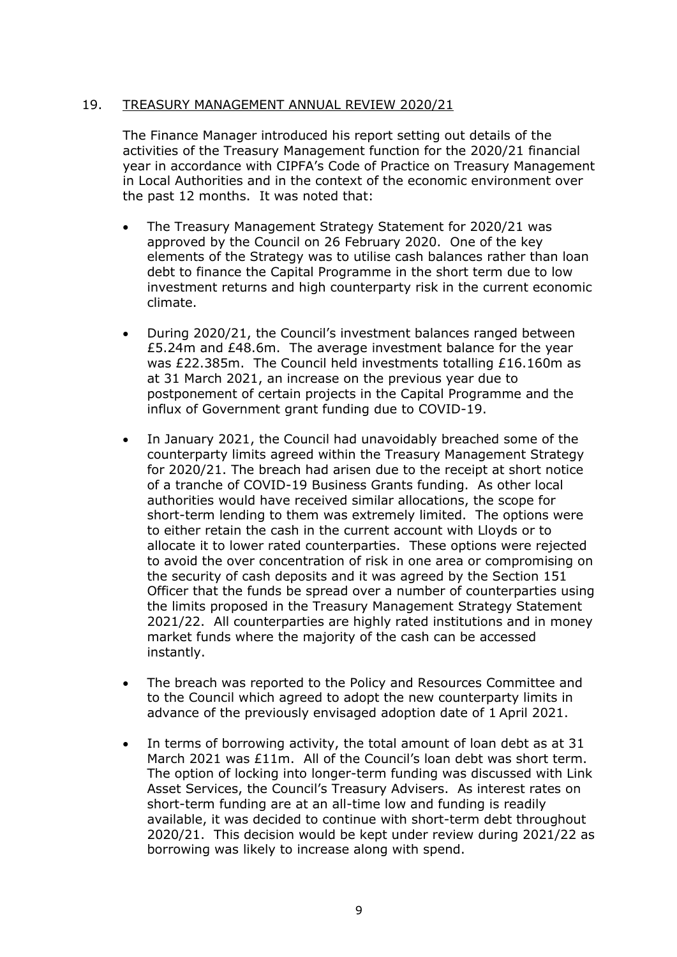# 19. TREASURY MANAGEMENT ANNUAL REVIEW 2020/21

The Finance Manager introduced his report setting out details of the activities of the Treasury Management function for the 2020/21 financial year in accordance with CIPFA's Code of Practice on Treasury Management in Local Authorities and in the context of the economic environment over the past 12 months. It was noted that:

- The Treasury Management Strategy Statement for 2020/21 was approved by the Council on 26 February 2020. One of the key elements of the Strategy was to utilise cash balances rather than loan debt to finance the Capital Programme in the short term due to low investment returns and high counterparty risk in the current economic climate.
- During 2020/21, the Council's investment balances ranged between £5.24m and £48.6m. The average investment balance for the year was £22.385m. The Council held investments totalling £16.160m as at 31 March 2021, an increase on the previous year due to postponement of certain projects in the Capital Programme and the influx of Government grant funding due to COVID-19.
- In January 2021, the Council had unavoidably breached some of the counterparty limits agreed within the Treasury Management Strategy for 2020/21. The breach had arisen due to the receipt at short notice of a tranche of COVID-19 Business Grants funding. As other local authorities would have received similar allocations, the scope for short-term lending to them was extremely limited. The options were to either retain the cash in the current account with Lloyds or to allocate it to lower rated counterparties. These options were rejected to avoid the over concentration of risk in one area or compromising on the security of cash deposits and it was agreed by the Section 151 Officer that the funds be spread over a number of counterparties using the limits proposed in the Treasury Management Strategy Statement 2021/22. All counterparties are highly rated institutions and in money market funds where the majority of the cash can be accessed instantly.
- The breach was reported to the Policy and Resources Committee and to the Council which agreed to adopt the new counterparty limits in advance of the previously envisaged adoption date of 1 April 2021.
- In terms of borrowing activity, the total amount of loan debt as at 31 March 2021 was £11m. All of the Council's loan debt was short term. The option of locking into longer-term funding was discussed with Link Asset Services, the Council's Treasury Advisers. As interest rates on short-term funding are at an all-time low and funding is readily available, it was decided to continue with short-term debt throughout 2020/21. This decision would be kept under review during 2021/22 as borrowing was likely to increase along with spend.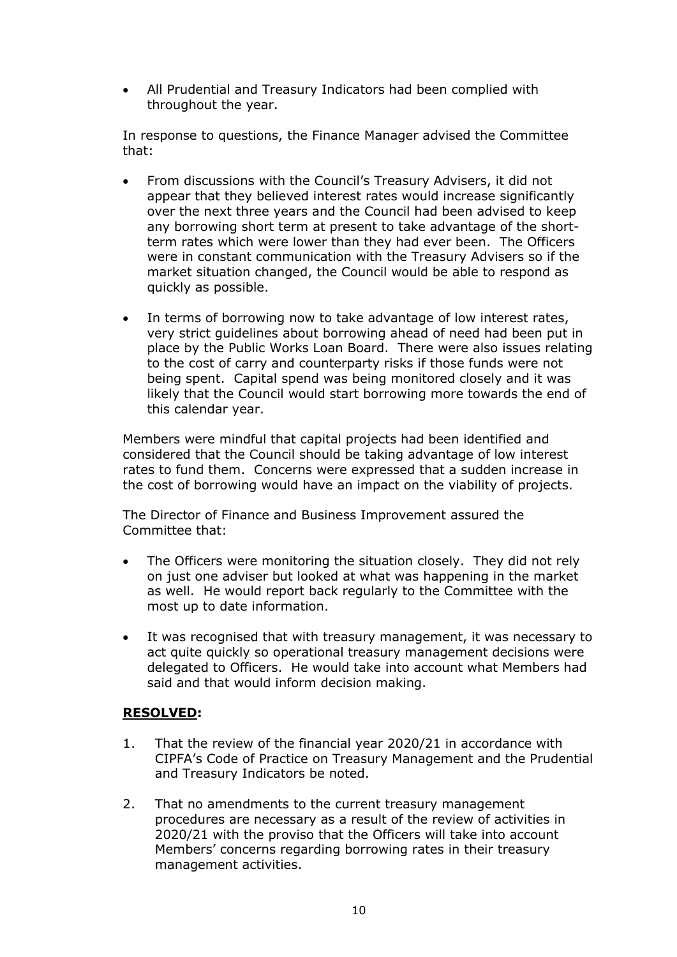• All Prudential and Treasury Indicators had been complied with throughout the year.

In response to questions, the Finance Manager advised the Committee that:

- From discussions with the Council's Treasury Advisers, it did not appear that they believed interest rates would increase significantly over the next three years and the Council had been advised to keep any borrowing short term at present to take advantage of the shortterm rates which were lower than they had ever been. The Officers were in constant communication with the Treasury Advisers so if the market situation changed, the Council would be able to respond as quickly as possible.
- In terms of borrowing now to take advantage of low interest rates, very strict guidelines about borrowing ahead of need had been put in place by the Public Works Loan Board. There were also issues relating to the cost of carry and counterparty risks if those funds were not being spent. Capital spend was being monitored closely and it was likely that the Council would start borrowing more towards the end of this calendar year.

Members were mindful that capital projects had been identified and considered that the Council should be taking advantage of low interest rates to fund them. Concerns were expressed that a sudden increase in the cost of borrowing would have an impact on the viability of projects.

The Director of Finance and Business Improvement assured the Committee that:

- The Officers were monitoring the situation closely. They did not rely on just one adviser but looked at what was happening in the market as well. He would report back regularly to the Committee with the most up to date information.
- It was recognised that with treasury management, it was necessary to act quite quickly so operational treasury management decisions were delegated to Officers. He would take into account what Members had said and that would inform decision making.

# **RESOLVED:**

- 1. That the review of the financial year 2020/21 in accordance with CIPFA's Code of Practice on Treasury Management and the Prudential and Treasury Indicators be noted.
- 2. That no amendments to the current treasury management procedures are necessary as a result of the review of activities in 2020/21 with the proviso that the Officers will take into account Members' concerns regarding borrowing rates in their treasury management activities.